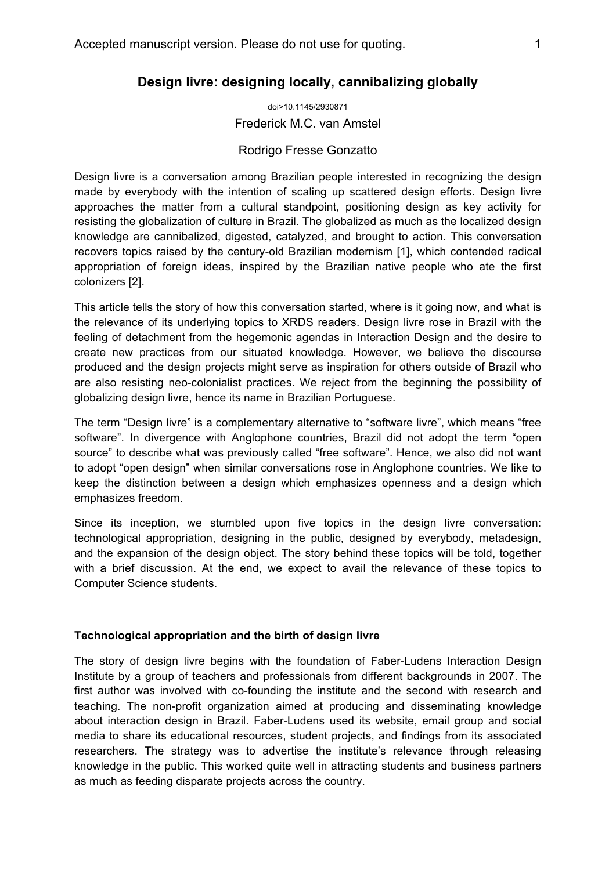# **Design livre: designing locally, cannibalizing globally**

doi>10.1145/2930871 Frederick M.C. van Amstel

## Rodrigo Fresse Gonzatto

Design livre is a conversation among Brazilian people interested in recognizing the design made by everybody with the intention of scaling up scattered design efforts. Design livre approaches the matter from a cultural standpoint, positioning design as key activity for resisting the globalization of culture in Brazil. The globalized as much as the localized design knowledge are cannibalized, digested, catalyzed, and brought to action. This conversation recovers topics raised by the century-old Brazilian modernism [1], which contended radical appropriation of foreign ideas, inspired by the Brazilian native people who ate the first colonizers [2].

This article tells the story of how this conversation started, where is it going now, and what is the relevance of its underlying topics to XRDS readers. Design livre rose in Brazil with the feeling of detachment from the hegemonic agendas in Interaction Design and the desire to create new practices from our situated knowledge. However, we believe the discourse produced and the design projects might serve as inspiration for others outside of Brazil who are also resisting neo-colonialist practices. We reject from the beginning the possibility of globalizing design livre, hence its name in Brazilian Portuguese.

The term "Design livre" is a complementary alternative to "software livre", which means "free software". In divergence with Anglophone countries, Brazil did not adopt the term "open source" to describe what was previously called "free software". Hence, we also did not want to adopt "open design" when similar conversations rose in Anglophone countries. We like to keep the distinction between a design which emphasizes openness and a design which emphasizes freedom.

Since its inception, we stumbled upon five topics in the design livre conversation: technological appropriation, designing in the public, designed by everybody, metadesign, and the expansion of the design object. The story behind these topics will be told, together with a brief discussion. At the end, we expect to avail the relevance of these topics to Computer Science students.

### **Technological appropriation and the birth of design livre**

The story of design livre begins with the foundation of Faber-Ludens Interaction Design Institute by a group of teachers and professionals from different backgrounds in 2007. The first author was involved with co-founding the institute and the second with research and teaching. The non-profit organization aimed at producing and disseminating knowledge about interaction design in Brazil. Faber-Ludens used its website, email group and social media to share its educational resources, student projects, and findings from its associated researchers. The strategy was to advertise the institute's relevance through releasing knowledge in the public. This worked quite well in attracting students and business partners as much as feeding disparate projects across the country.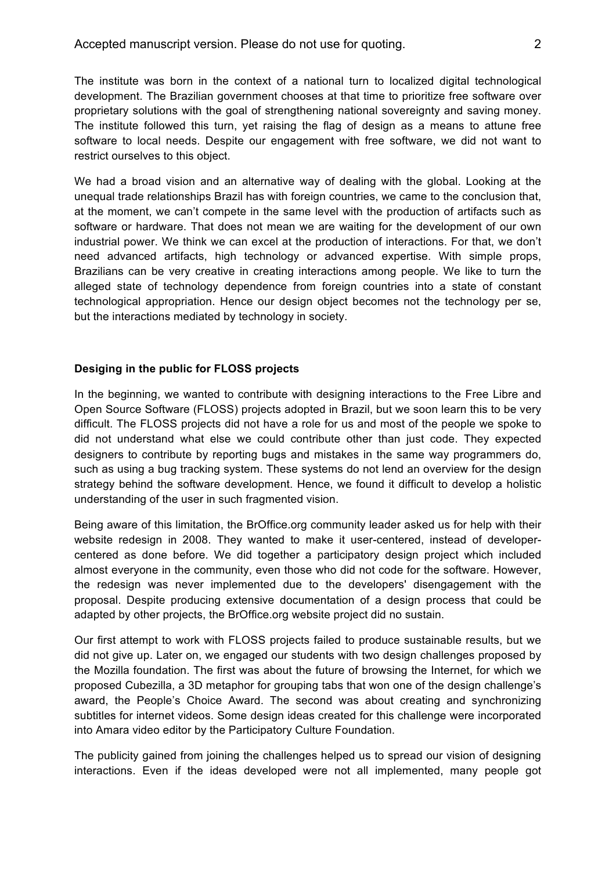The institute was born in the context of a national turn to localized digital technological development. The Brazilian government chooses at that time to prioritize free software over proprietary solutions with the goal of strengthening national sovereignty and saving money. The institute followed this turn, yet raising the flag of design as a means to attune free software to local needs. Despite our engagement with free software, we did not want to restrict ourselves to this object.

We had a broad vision and an alternative way of dealing with the global. Looking at the unequal trade relationships Brazil has with foreign countries, we came to the conclusion that, at the moment, we can't compete in the same level with the production of artifacts such as software or hardware. That does not mean we are waiting for the development of our own industrial power. We think we can excel at the production of interactions. For that, we don't need advanced artifacts, high technology or advanced expertise. With simple props, Brazilians can be very creative in creating interactions among people. We like to turn the alleged state of technology dependence from foreign countries into a state of constant technological appropriation. Hence our design object becomes not the technology per se, but the interactions mediated by technology in society.

## **Desiging in the public for FLOSS projects**

In the beginning, we wanted to contribute with designing interactions to the Free Libre and Open Source Software (FLOSS) projects adopted in Brazil, but we soon learn this to be very difficult. The FLOSS projects did not have a role for us and most of the people we spoke to did not understand what else we could contribute other than just code. They expected designers to contribute by reporting bugs and mistakes in the same way programmers do, such as using a bug tracking system. These systems do not lend an overview for the design strategy behind the software development. Hence, we found it difficult to develop a holistic understanding of the user in such fragmented vision.

Being aware of this limitation, the BrOffice.org community leader asked us for help with their website redesign in 2008. They wanted to make it user-centered, instead of developercentered as done before. We did together a participatory design project which included almost everyone in the community, even those who did not code for the software. However, the redesign was never implemented due to the developers' disengagement with the proposal. Despite producing extensive documentation of a design process that could be adapted by other projects, the BrOffice.org website project did no sustain.

Our first attempt to work with FLOSS projects failed to produce sustainable results, but we did not give up. Later on, we engaged our students with two design challenges proposed by the Mozilla foundation. The first was about the future of browsing the Internet, for which we proposed Cubezilla, a 3D metaphor for grouping tabs that won one of the design challenge's award, the People's Choice Award. The second was about creating and synchronizing subtitles for internet videos. Some design ideas created for this challenge were incorporated into Amara video editor by the Participatory Culture Foundation.

The publicity gained from joining the challenges helped us to spread our vision of designing interactions. Even if the ideas developed were not all implemented, many people got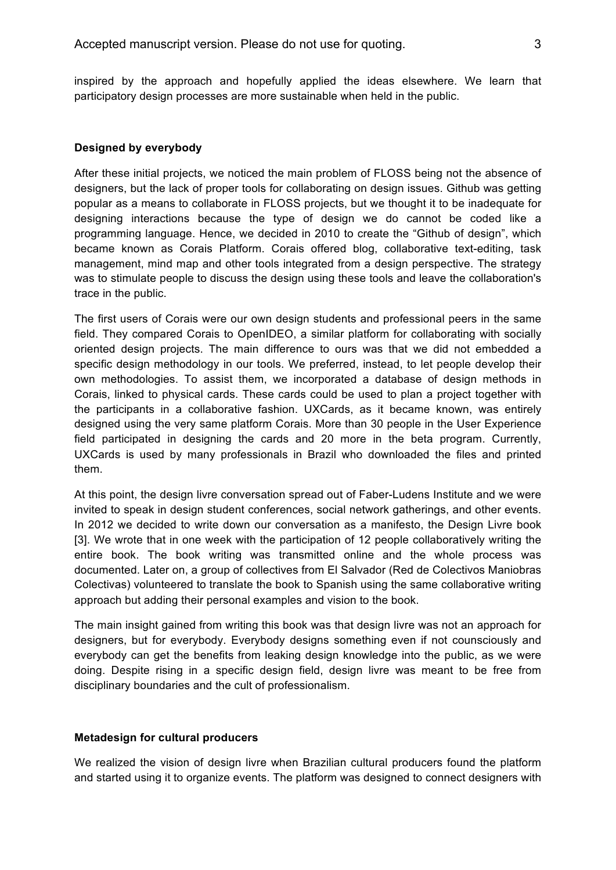inspired by the approach and hopefully applied the ideas elsewhere. We learn that participatory design processes are more sustainable when held in the public.

#### **Designed by everybody**

After these initial projects, we noticed the main problem of FLOSS being not the absence of designers, but the lack of proper tools for collaborating on design issues. Github was getting popular as a means to collaborate in FLOSS projects, but we thought it to be inadequate for designing interactions because the type of design we do cannot be coded like a programming language. Hence, we decided in 2010 to create the "Github of design", which became known as Corais Platform. Corais offered blog, collaborative text-editing, task management, mind map and other tools integrated from a design perspective. The strategy was to stimulate people to discuss the design using these tools and leave the collaboration's trace in the public.

The first users of Corais were our own design students and professional peers in the same field. They compared Corais to OpenIDEO, a similar platform for collaborating with socially oriented design projects. The main difference to ours was that we did not embedded a specific design methodology in our tools. We preferred, instead, to let people develop their own methodologies. To assist them, we incorporated a database of design methods in Corais, linked to physical cards. These cards could be used to plan a project together with the participants in a collaborative fashion. UXCards, as it became known, was entirely designed using the very same platform Corais. More than 30 people in the User Experience field participated in designing the cards and 20 more in the beta program. Currently, UXCards is used by many professionals in Brazil who downloaded the files and printed them.

At this point, the design livre conversation spread out of Faber-Ludens Institute and we were invited to speak in design student conferences, social network gatherings, and other events. In 2012 we decided to write down our conversation as a manifesto, the Design Livre book [3]. We wrote that in one week with the participation of 12 people collaboratively writing the entire book. The book writing was transmitted online and the whole process was documented. Later on, a group of collectives from El Salvador (Red de Colectivos Maniobras Colectivas) volunteered to translate the book to Spanish using the same collaborative writing approach but adding their personal examples and vision to the book.

The main insight gained from writing this book was that design livre was not an approach for designers, but for everybody. Everybody designs something even if not counsciously and everybody can get the benefits from leaking design knowledge into the public, as we were doing. Despite rising in a specific design field, design livre was meant to be free from disciplinary boundaries and the cult of professionalism.

#### **Metadesign for cultural producers**

We realized the vision of design livre when Brazilian cultural producers found the platform and started using it to organize events. The platform was designed to connect designers with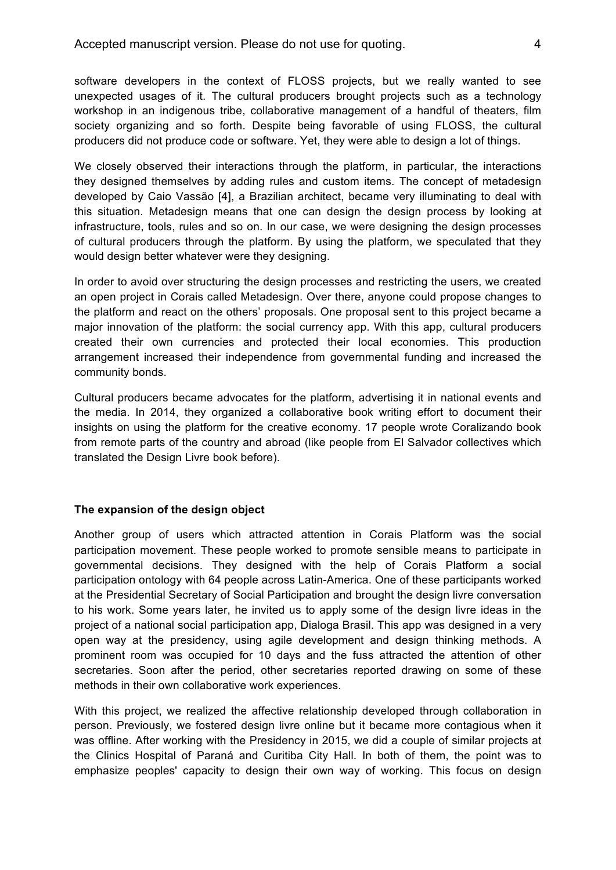software developers in the context of FLOSS projects, but we really wanted to see unexpected usages of it. The cultural producers brought projects such as a technology workshop in an indigenous tribe, collaborative management of a handful of theaters, film society organizing and so forth. Despite being favorable of using FLOSS, the cultural producers did not produce code or software. Yet, they were able to design a lot of things.

We closely observed their interactions through the platform, in particular, the interactions they designed themselves by adding rules and custom items. The concept of metadesign developed by Caio Vassão [4], a Brazilian architect, became very illuminating to deal with this situation. Metadesign means that one can design the design process by looking at infrastructure, tools, rules and so on. In our case, we were designing the design processes of cultural producers through the platform. By using the platform, we speculated that they would design better whatever were they designing.

In order to avoid over structuring the design processes and restricting the users, we created an open project in Corais called Metadesign. Over there, anyone could propose changes to the platform and react on the others' proposals. One proposal sent to this project became a major innovation of the platform: the social currency app. With this app, cultural producers created their own currencies and protected their local economies. This production arrangement increased their independence from governmental funding and increased the community bonds.

Cultural producers became advocates for the platform, advertising it in national events and the media. In 2014, they organized a collaborative book writing effort to document their insights on using the platform for the creative economy. 17 people wrote Coralizando book from remote parts of the country and abroad (like people from El Salvador collectives which translated the Design Livre book before).

### **The expansion of the design object**

Another group of users which attracted attention in Corais Platform was the social participation movement. These people worked to promote sensible means to participate in governmental decisions. They designed with the help of Corais Platform a social participation ontology with 64 people across Latin-America. One of these participants worked at the Presidential Secretary of Social Participation and brought the design livre conversation to his work. Some years later, he invited us to apply some of the design livre ideas in the project of a national social participation app, Dialoga Brasil. This app was designed in a very open way at the presidency, using agile development and design thinking methods. A prominent room was occupied for 10 days and the fuss attracted the attention of other secretaries. Soon after the period, other secretaries reported drawing on some of these methods in their own collaborative work experiences.

With this project, we realized the affective relationship developed through collaboration in person. Previously, we fostered design livre online but it became more contagious when it was offline. After working with the Presidency in 2015, we did a couple of similar projects at the Clinics Hospital of Paraná and Curitiba City Hall. In both of them, the point was to emphasize peoples' capacity to design their own way of working. This focus on design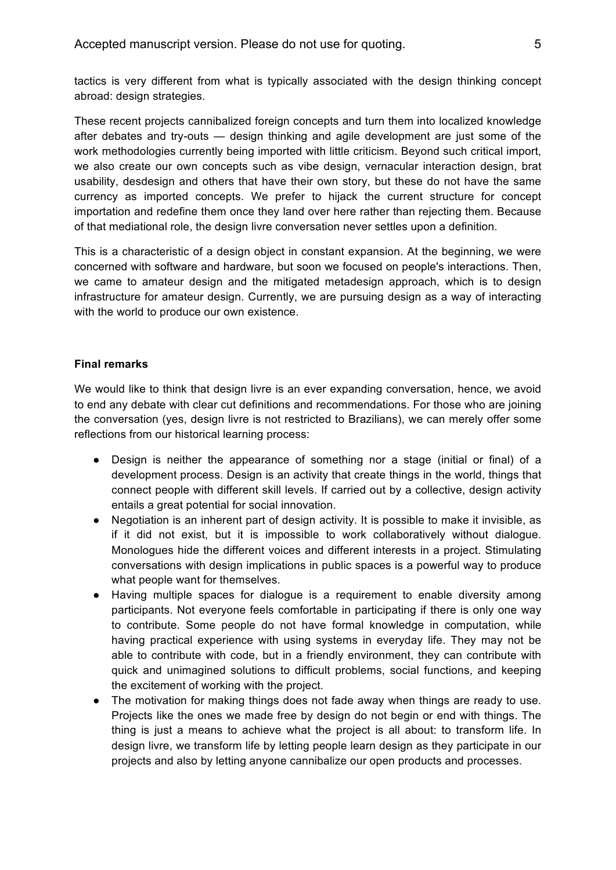tactics is very different from what is typically associated with the design thinking concept abroad: design strategies.

These recent projects cannibalized foreign concepts and turn them into localized knowledge after debates and try-outs — design thinking and agile development are just some of the work methodologies currently being imported with little criticism. Beyond such critical import, we also create our own concepts such as vibe design, vernacular interaction design, brat usability, desdesign and others that have their own story, but these do not have the same currency as imported concepts. We prefer to hijack the current structure for concept importation and redefine them once they land over here rather than rejecting them. Because of that mediational role, the design livre conversation never settles upon a definition.

This is a characteristic of a design object in constant expansion. At the beginning, we were concerned with software and hardware, but soon we focused on people's interactions. Then, we came to amateur design and the mitigated metadesign approach, which is to design infrastructure for amateur design. Currently, we are pursuing design as a way of interacting with the world to produce our own existence.

### **Final remarks**

We would like to think that design livre is an ever expanding conversation, hence, we avoid to end any debate with clear cut definitions and recommendations. For those who are joining the conversation (yes, design livre is not restricted to Brazilians), we can merely offer some reflections from our historical learning process:

- Design is neither the appearance of something nor a stage (initial or final) of a development process. Design is an activity that create things in the world, things that connect people with different skill levels. If carried out by a collective, design activity entails a great potential for social innovation.
- Negotiation is an inherent part of design activity. It is possible to make it invisible, as if it did not exist, but it is impossible to work collaboratively without dialogue. Monologues hide the different voices and different interests in a project. Stimulating conversations with design implications in public spaces is a powerful way to produce what people want for themselves.
- Having multiple spaces for dialogue is a requirement to enable diversity among participants. Not everyone feels comfortable in participating if there is only one way to contribute. Some people do not have formal knowledge in computation, while having practical experience with using systems in everyday life. They may not be able to contribute with code, but in a friendly environment, they can contribute with quick and unimagined solutions to difficult problems, social functions, and keeping the excitement of working with the project.
- The motivation for making things does not fade away when things are ready to use. Projects like the ones we made free by design do not begin or end with things. The thing is just a means to achieve what the project is all about: to transform life. In design livre, we transform life by letting people learn design as they participate in our projects and also by letting anyone cannibalize our open products and processes.